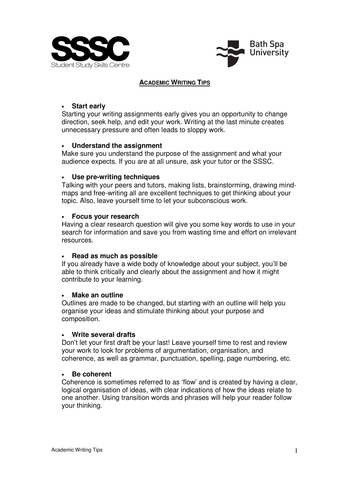



## **ACADEMIC WRITING TIPS**

### • **Start early**

Starting your writing assignments early gives you an opportunity to change direction, seek help, and edit your work. Writing at the last minute creates unnecessary pressure and often leads to sloppy work.

### • **Understand the assignment**

Make sure you understand the purpose of the assignment and what your audience expects. If you are at all unsure, ask your tutor or the SSSC.

### • **Use pre-writing techniques**

Talking with your peers and tutors, making lists, brainstorming, drawing mindmaps and free-writing all are excellent techniques to get thinking about your topic. Also, leave yourself time to let your subconscious work.

### • **Focus your research**

Having a clear research question will give you some key words to use in your search for information and save you from wasting time and effort on irrelevant resources.

#### • **Read as much as possible**

If you already have a wide body of knowledge about your subject, you'll be able to think critically and clearly about the assignment and how it might contribute to your learning.

#### • **Make an outline**

Outlines are made to be changed, but starting with an outline will help you organise your ideas and stimulate thinking about your purpose and composition.

#### • **Write several drafts**

Don't let your first draft be your last! Leave yourself time to rest and review your work to look for problems of argumentation, organisation, and coherence, as well as grammar, punctuation, spelling, page numbering, etc.

#### • **Be coherent**

Coherence is sometimes referred to as 'flow' and is created by having a clear, logical organisation of ideas, with clear indications of how the ideas relate to one another. Using transition words and phrases will help your reader follow your thinking.